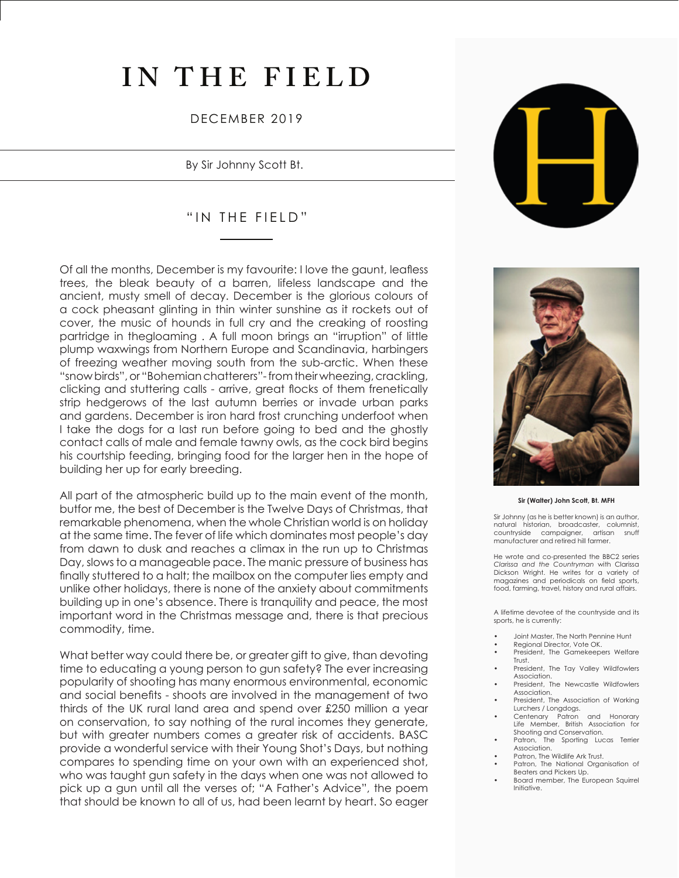# **IN THE FIELD**

## DECEMBER 2019

By Sir Johnny Scott Bt.

## "IN THE FIELD"

Of all the months, December is my favourite: I love the gaunt, leafless trees, the bleak beauty of a barren, lifeless landscape and the ancient, musty smell of decay. December is the glorious colours of a cock pheasant glinting in thin winter sunshine as it rockets out of cover, the music of hounds in full cry and the creaking of roosting partridge in thegloaming . A full moon brings an "irruption" of little plump waxwings from Northern Europe and Scandinavia, harbingers of freezing weather moving south from the sub-arctic. When these "snow birds", or "Bohemian chatterers"- from their wheezing, crackling, clicking and stuttering calls - arrive, great flocks of them frenetically strip hedgerows of the last autumn berries or invade urban parks and gardens. December is iron hard frost crunching underfoot when I take the dogs for a last run before going to bed and the ghostly contact calls of male and female tawny owls, as the cock bird begins his courtship feeding, bringing food for the larger hen in the hope of building her up for early breeding.

All part of the atmospheric build up to the main event of the month, butfor me, the best of December is the Twelve Days of Christmas, that remarkable phenomena, when the whole Christian world is on holiday at the same time. The fever of life which dominates most people's day from dawn to dusk and reaches a climax in the run up to Christmas Day, slows to a manageable pace. The manic pressure of business has finally stuttered to a halt; the mailbox on the computer lies empty and unlike other holidays, there is none of the anxiety about commitments building up in one's absence. There is tranquility and peace, the most important word in the Christmas message and, there is that precious commodity, time.

What better way could there be, or greater gift to give, than devoting time to educating a young person to gun safety? The ever increasing popularity of shooting has many enormous environmental, economic and social benefits - shoots are involved in the management of two thirds of the UK rural land area and spend over £250 million a year on conservation, to say nothing of the rural incomes they generate, but with greater numbers comes a greater risk of accidents. BASC provide a wonderful service with their Young Shot's Days, but nothing compares to spending time on your own with an experienced shot, who was taught gun safety in the days when one was not allowed to pick up a gun until all the verses of; "A Father's Advice", the poem that should be known to all of us, had been learnt by heart. So eager





#### **Sir (Walter) John Scott, Bt. MFH**

Sir Johnny (as he is better known) is an author, natural historian, broadcaster, columnist,<br>countryside campaigner, artisan snuff countryside campaigner, manufacturer and retired hill farmer.

He wrote and co-presented the BBC2 series *Clarissa and the Countryman* with Clarissa Dickson Wright. He writes for a variety of magazines and periodicals on field sports, food, farming, travel, history and rural affairs.

A lifetime devotee of the countryside and its sports, he is currently:

- Joint Master, The North Pennine Hunt
- Regional Director, Vote OK.
- President, The Gamekeepers Welfare Trust.
- President, The Tay Valley Wildfowlers Association.
- President, The Newcastle Wildfowlers Association.
- President, The Association of Working Lurchers / Longdogs.
- Centenary Patron and Honorary Life Member, British Association for Shooting and Conservation.<br>Patron, The Sporting Luc
- The Sporting Lucas Terrier Association.
- Patron, The Wildlife Ark Trust. Patron, The National Organisation of
- Beaters and Pickers Up.
- Board member, The European Squirrel Initiative.